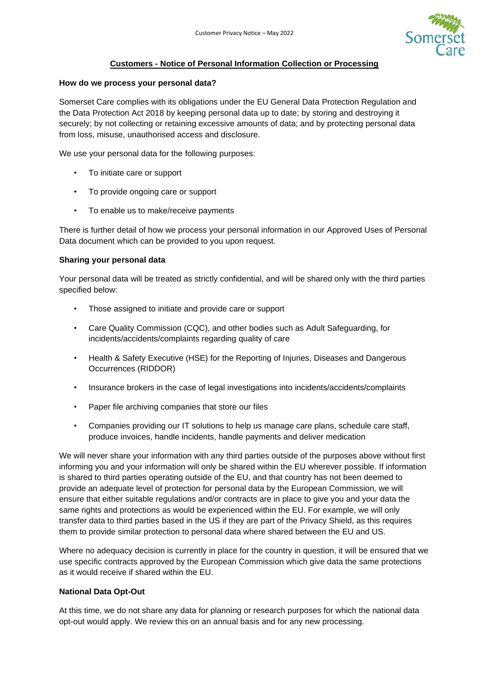

# **Customers - Notice of Personal Information Collection or Processing**

### **How do we process your personal data?**

Somerset Care complies with its obligations under the EU General Data Protection Regulation and the Data Protection Act 2018 by keeping personal data up to date; by storing and destroying it securely; by not collecting or retaining excessive amounts of data; and by protecting personal data from loss, misuse, unauthorised access and disclosure.

We use your personal data for the following purposes:

- To initiate care or support
- To provide ongoing care or support
- To enable us to make/receive payments

There is further detail of how we process your personal information in our Approved Uses of Personal Data document which can be provided to you upon request.

### **Sharing your personal data**

Your personal data will be treated as strictly confidential, and will be shared only with the third parties specified below:

- Those assigned to initiate and provide care or support
- Care Quality Commission (CQC), and other bodies such as Adult Safeguarding, for incidents/accidents/complaints regarding quality of care
- Health & Safety Executive (HSE) for the Reporting of Injuries, Diseases and Dangerous Occurrences (RIDDOR)
- Insurance brokers in the case of legal investigations into incidents/accidents/complaints
- Paper file archiving companies that store our files
- Companies providing our IT solutions to help us manage care plans, schedule care staff, produce invoices, handle incidents, handle payments and deliver medication

We will never share your information with any third parties outside of the purposes above without first informing you and your information will only be shared within the EU wherever possible. If information is shared to third parties operating outside of the EU, and that country has not been deemed to provide an adequate level of protection for personal data by the European Commission, we will ensure that either suitable regulations and/or contracts are in place to give you and your data the same rights and protections as would be experienced within the EU. For example, we will only transfer data to third parties based in the US if they are part of the Privacy Shield, as this requires them to provide similar protection to personal data where shared between the EU and US.

Where no adequacy decision is currently in place for the country in question, it will be ensured that we use specific contracts approved by the European Commission which give data the same protections as it would receive if shared within the EU.

# **National Data Opt-Out**

At this time, we do not share any data for planning or research purposes for which the national data opt-out would apply. We review this on an annual basis and for any new processing.